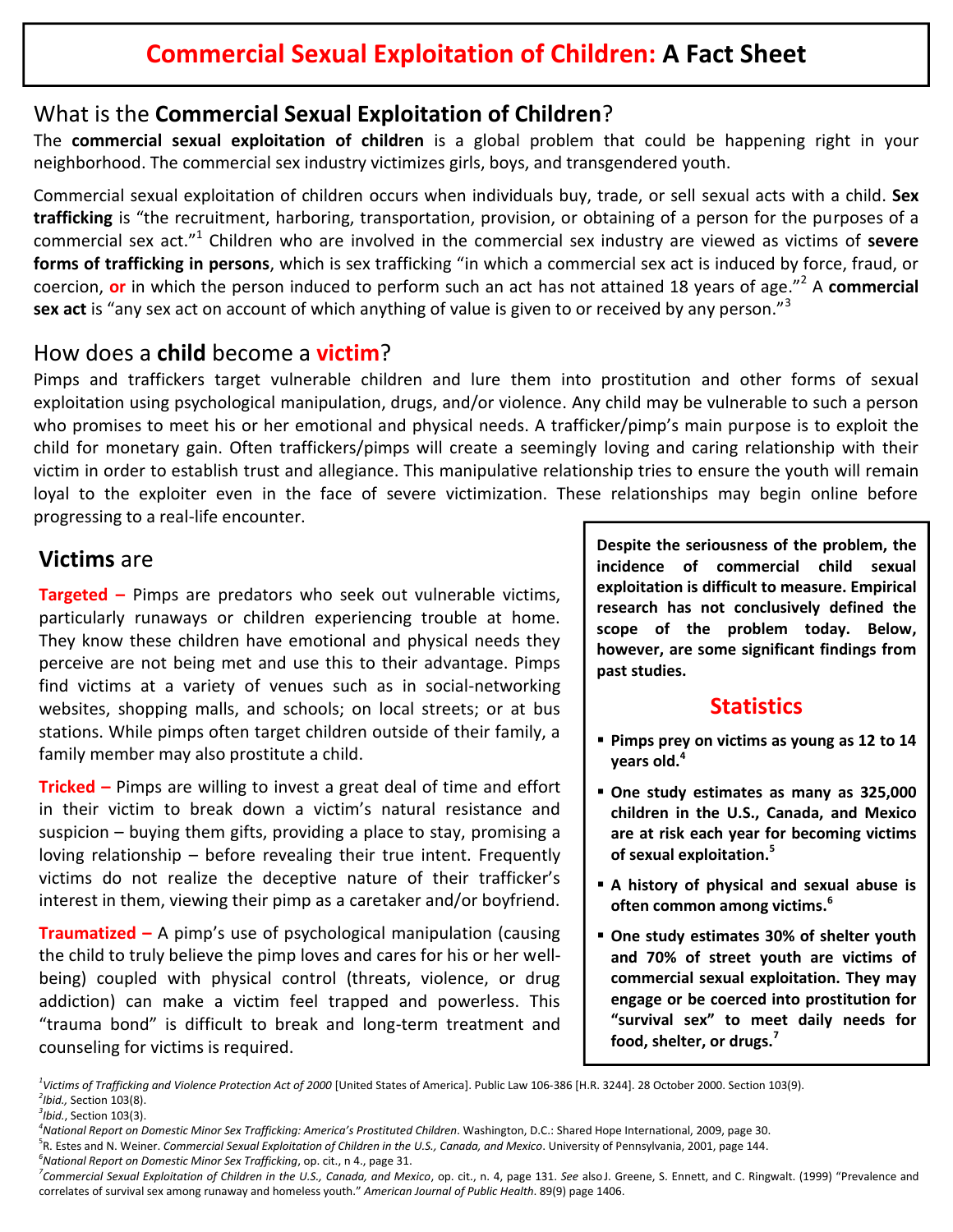## What is the **Commercial Sexual Exploitation of Children**?

The **commercial sexual exploitation of children** is a global problem that could be happening right in your neighborhood. The commercial sex industry victimizes girls, boys, and transgendered youth.

Commercial sexual exploitation of children occurs when individuals buy, trade, or sell sexual acts with a child. **Sex trafficking** is "the recruitment, harboring, transportation, provision, or obtaining of a person for the purposes of a commercial sex act." <sup>1</sup> Children who are involved in the commercial sex industry are viewed as victims of **severe forms of trafficking in persons**, which is sex trafficking "in which a commercial sex act is induced by force, fraud, or coercion, **or** in which the person induced to perform such an act has not attained 18 years of age." <sup>2</sup> A **commercial sex act** is "any sex act on account of which anything of value is given to or received by any person." 3

### How does a **child** become a **victim**?

Pimps and traffickers target vulnerable children and lure them into prostitution and other forms of sexual exploitation using psychological manipulation, drugs, and/or violence. Any child may be vulnerable to such a person who promises to meet his or her emotional and physical needs. A trafficker/pimp's main purpose is to exploit the child for monetary gain. Often traffickers/pimps will create a seemingly loving and caring relationship with their victim in order to establish trust and allegiance. This manipulative relationship tries to ensure the youth will remain loyal to the exploiter even in the face of severe victimization. These relationships may begin online before progressing to a real-life encounter.

#### **Victims** are

**Targeted –** Pimps are predators who seek out vulnerable victims, particularly runaways or children experiencing trouble at home. They know these children have emotional and physical needs they perceive are not being met and use this to their advantage. Pimps find victims at a variety of venues such as in social-networking websites, shopping malls, and schools; on local streets; or at bus stations. While pimps often target children outside of their family, a family member may also prostitute a child.

**Tricked –** Pimps are willing to invest a great deal of time and effort in their victim to break down a victim's natural resistance and suspicion – buying them gifts, providing a place to stay, promising a loving relationship – before revealing their true intent. Frequently victims do not realize the deceptive nature of their trafficker's interest in them, viewing their pimp as a caretaker and/or boyfriend.

**Traumatized –** A pimp's use of psychological manipulation (causing the child to truly believe the pimp loves and cares for his or her wellbeing) coupled with physical control (threats, violence, or drug addiction) can make a victim feel trapped and powerless. This "trauma bond" is difficult to break and long-term treatment and counseling for victims is required.

**Despite the seriousness of the problem, the incidence of commercial child sexual exploitation is difficult to measure. Empirical research has not conclusively defined the scope of the problem today. Below, however, are some significant findings from past studies.**

## **Statistics**

- **Pimps prey on victims as young as 12 to 14 years old. 4**
- **One study estimates as many as 325,000 children in the U.S., Canada, and Mexico are at risk each year for becoming victims of sexual exploitation. 5**
- **A history of physical and sexual abuse is often common among victims. 6**
- **One study estimates 30% of shelter youth and 70% of street youth are victims of commercial sexual exploitation. They may engage or be coerced into prostitution for "survival sex" to meet daily needs for food, shelter, or drugs. 7**

<sup>1</sup>Victims of Trafficking and Violence Protection Act of 2000 [United States of America]. Public Law 106-386 [H.R. 3244]. 28 October 2000. Section 103(9).<br><sup>2</sup>Ibid. Section 103(9) *Ibid.,* Section 103(8).

*<sup>3</sup> Ibid.*, Section 103(3). *<sup>4</sup>*

*National Report on Domestic Minor Sex Trafficking: America's Prostituted Children*. Washington, D.C.: Shared Hope International, 2009, page 30. <sup>5</sup>

R. Estes and N. Weiner. *Commercial Sexual Exploitation of Children in the U.S., Canada, and Mexico*. University of Pennsylvania, 2001, page 144. *6 National Report on Domestic Minor Sex Trafficking*, op. cit., <sup>n</sup> 4., page 31. *<sup>7</sup>*

<sup>&</sup>lt;sup>7</sup>Commercial Sexual Exploitation of Children in the U.S., Canada, and Mexico, op. cit., n. 4, page 131. See alsoJ. Greene, S. Ennett, and C. Ringwalt. (1999) "Prevalence and correlates of survival sex among runaway and homeless youth." *American Journal of Public Health*. 89(9) page 1406.